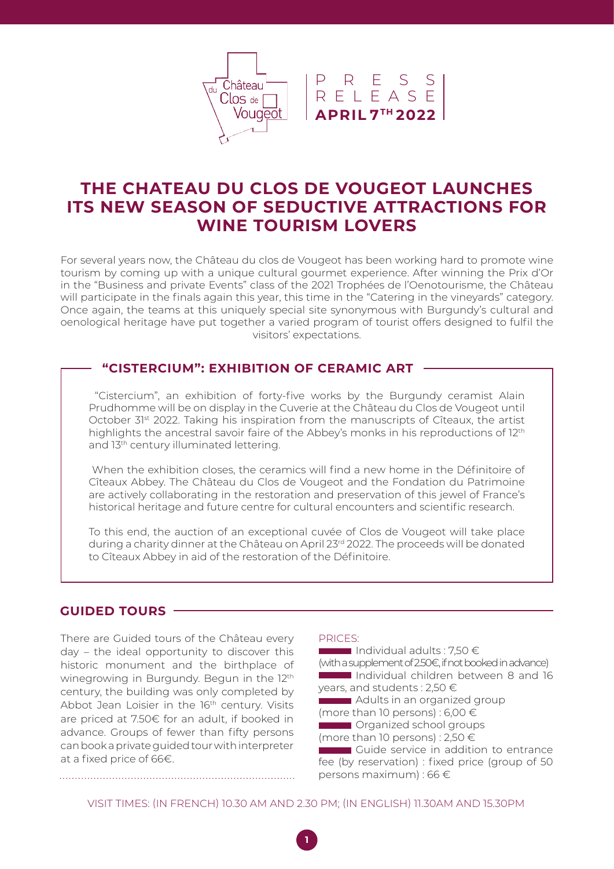

# **THE CHATEAU DU CLOS DE VOUGEOT LAUNCHES ITS NEW SEASON OF SEDUCTIVE ATTRACTIONS FOR WINE TOURISM LOVERS**

For several years now, the Château du clos de Vougeot has been working hard to promote wine For several years how, the enated are elss delived yougedt has been working hard to promote wine<br>tourism by coming up with a unique cultural gourmet experience. After winning the Prix d'Or Biscuits Mistral ballu plivati will participate in the finals again this year, this time in the "Catering in the vineyards" category. Once again, the teams at this uniquely special site synonymous with Burgundy's cultural and oenological heritage have put together a varied program of tourist offers designed to fulfil the Journet experience. Arter w in the "Business and private Events" class of the 2021 Trophées de l'Oenotourisme, the Château visitors' expectations.

#### ERCIUM Domaine René Bouvier **"CISTERCIUM": EXHIBITION OF CERAMIC ART**

"Cistercium", an exhibition of forty-five works by the Burgundy ceramist Alain highlights the ancestral savoir faire of the Abbey's monks in his reproductions of 12<sup>th</sup> and 13<sup>th</sup> century illuminated lettering. Prudhomme will be on display in the Cuverie at the Château du Clos de Vougeot until October 31st 2022. Taking his inspiration from the manuscripts of Cîteaux, the artist

When the exhibition closes, the ceramics will find a new home in the Définitoire of dans la lignée de la lignée de la lignée de la lignée de la lignée de la lignée de la lignée de la lignée de l de Bourgogne, le Débuché de Bourgogne, En effet, les Cadets, chœur d'hommes reconnu historical heritage and future centre for cultural encounters and scientific research.<br>. Cîteaux Abbey. The Château du Clos de Vougeot and the Fondation du Patrimoine are actively collaborating in the restoration and preservation of this jewel of France's

To this end, the auction of an exceptional cuvée of Clos de Vougeot will take place a end, and duction or an exception pa chanty uniner at the chateau or to Cîteaux Abbey in aid of the restoration of the Définitoire. Bourgogne » afin de rendre hommage aux during a charity dinner at the Château on April 23rd 2022. The proceeds will be donated

### **GUIDED TOURS**

There are Guided tours of the Château every day – the ideal opportunity to discover this historic monument and the birthplace of winegrowing in Burgundy. Begun in the 12<sup>th</sup> century, the building was only completed by Abbot Jean Loisier in the 16<sup>th</sup> century. Visits are priced at 7.50€ for an adult, if booked in advance. Groups of fewer than fifty persons can book a private guided tour with interpreter at a fixed price of 66€.

**https://youtu.be/LkCsmy8FimQ.**

#### PRICES:

**https://youtu.be/ZbRP7VkuicU.** 

Individual adults : 7.50  $\in$ (with a supplement of 2.50€, if not booked in advance) Individual children between 8 and 16 years, and students : 2,50 €

**Adults in an organized group** 

(more than 10 persons) : 6,00  $\in$ 

**The Caucal** Organized school groups

(more than 10 persons) : 2,50  $\in$ 

Guide service in addition to entrance fee (by reservation) : fixed price (group of 50 persons maximum) : 66 €

VISIT TIMES: (IN FRENCH) 10.30 AM AND 2.30 PM; (IN ENGLISH) 11.30AM AND 15.30PM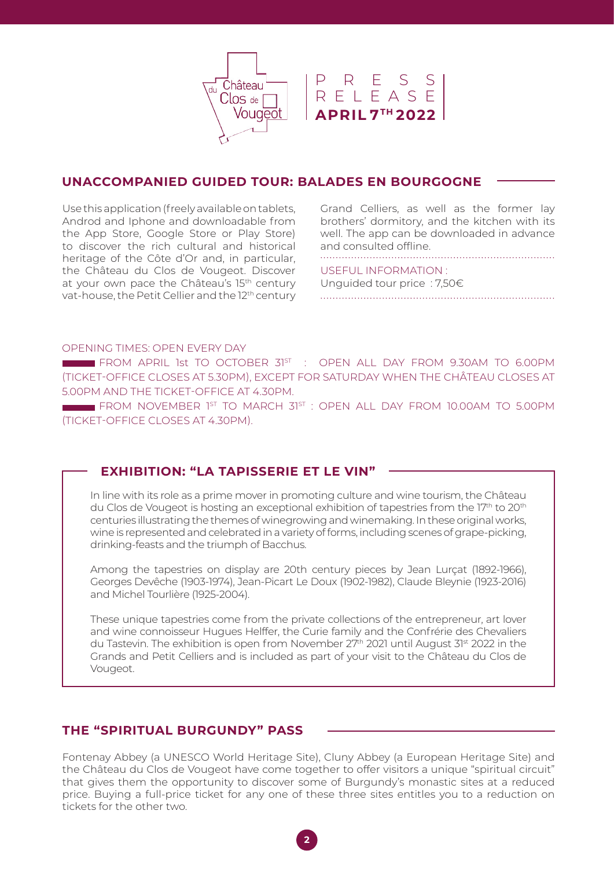

### CI-DESSOUS, LES ENTREPRISES/ENTITÉS UNACCOMPANIED GUIDED TOUR: BALADES EN BOURGOGNE

the App Store, Google Store or Play Store) to discover the rich cultural and historical heritage of the Côte d'Or and, in particular, the Château du Clos de Vougeot. Discover at your own pace the Château's 15<sup>th</sup> century Bleure-Ruchen<br>Bleu-blancvat-house, the Petit Cellier and the 12<sup>th</sup> century Use this application (freely available on tablets, Androd and Iphone and downloadable from well. The app can be downloaded in advance and consulted offline. Cinéma CAP VERT Grand Celliers, as well as the former lay brothers' dormitory, and the kitchen with its

USEFUL INFORMATION : La Moutarderie Fallot et Bernard Loiseau

Unguided tour price : 7,50 $\in$ Fromagerie Gaugry

### OPENING TIMES: OPEN EVERY DAY

FROM APRIL 1st TO OCTOBER 31ST : OPEN ALL DAY FROM 9.30AM TO 6.00PM  $A = 50$ Boucherie Marcel Sabatier 5.00PM AND THE TICKET-OFFICE AT 4.30PM.  $\sum_{i=1}^{n}$ (TICKET-OFFICE CLOSES AT 5.30PM), EXCEPT FOR SATURDAY WHEN THE CHÂTEAU CLOSES AT

 $\blacksquare$  FROM NOVEMBER 1st to March 31st : OPEN ALL DAY FROM 10.00AM TO 5.00PM (TICKET-OFFICE CLOSES AT 4.30PM).

# **EXHIBITION: "LA TAPISSERIE ET LE VIN"**

du Clos de Vougeot is hosting an exceptional exhibition of tapestries from the 17th to 20th<br>du Clos de Vougeot is hosting an exceptional exhibition of tapestries from the 17th to 20th de roagoot lo noomly an oxooper neumauranny die die mondum vindy. wine is represented and celebrated in a variety of forms, including scenes of grape-picking, drinking-feasts and the triumph of Bacchus.  $\alpha$  travers le monde de monde adaptées le monde adaptées le monde adaptées le monde adaptées le monde adaptées le monde adaptées le monde adaptées le monde adaptées le monde adaptées le monde adaptées le monde adaptées le centuries illustrating the themes of winegrowing and winemaking. In these original works, In line with its role as a prime mover in promoting culture and wine tourism, the Château

Among the tapestries on display are 20th century pieces by Jean Lurçat (1892-1966), Georges Devêche (1903-1974), Jean-Picart Le Doux (1902-1982), Claude Bleynie (1923-2016) and Michel Tourlière (1925-2004).

These unique tapestries come from the private collections of the entrepreneur, art lover and wine connoisseur Hugues Helffer, the Curie family and the Confrérie des Chevaliers du Tastevin. The exhibition is open from November 27<sup>th</sup> 2021 until August 3<sup>1st</sup> 2022 in the Grands and Petit Celliers and is included as part of your visit to the Château du Clos de Vougeot.

## **THE "SPIRITUAL BURGUNDY" PASS**

Fontenay Abbey (a UNESCO World Heritage Site), Cluny Abbey (a European Heritage Site) and the Château du Clos de Vougeot have come together to offer visitors a unique "spiritual circuit" that gives them the opportunity to discover some of Burgundy's monastic sites at a reduced price. Buying a full-price ticket for any one of these three sites entitles you to a reduction on tickets for the other two.

**2**